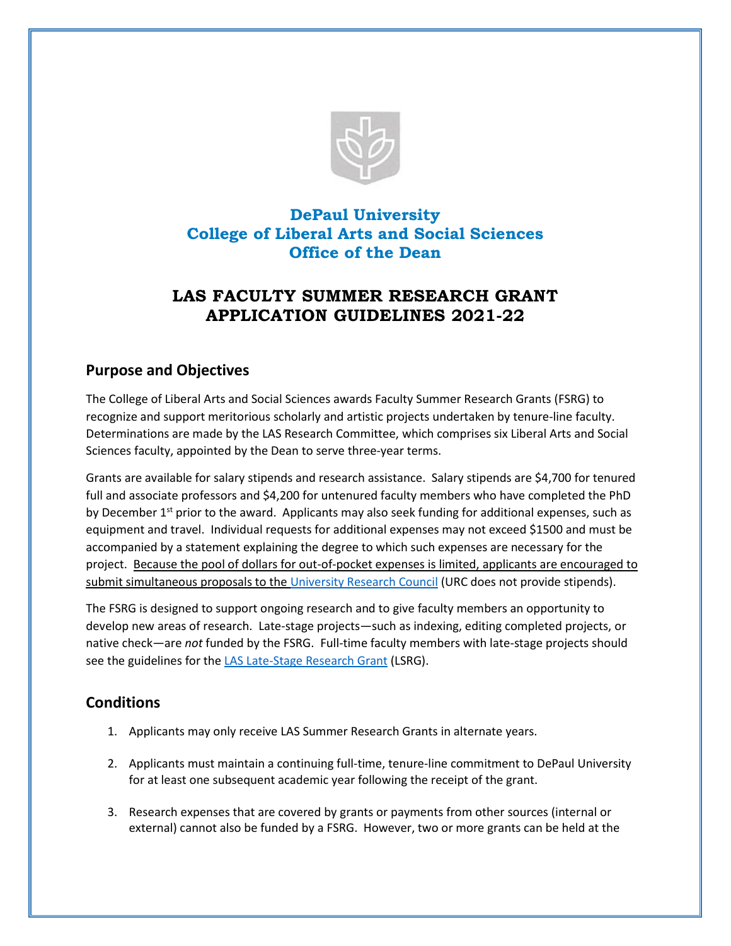

# **DePaul University College of Liberal Arts and Social Sciences Office of the Dean**

# **LAS FACULTY SUMMER RESEARCH GRANT APPLICATION GUIDELINES 2021-22**

#### **Purpose and Objectives**

The College of Liberal Arts and Social Sciences awards Faculty Summer Research Grants (FSRG) to recognize and support meritorious scholarly and artistic projects undertaken by tenure-line faculty. Determinations are made by the LAS Research Committee, which comprises six Liberal Arts and Social Sciences faculty, appointed by the Dean to serve three-year terms.

Grants are available for salary stipends and research assistance. Salary stipends are \$4,700 for tenured full and associate professors and \$4,200 for untenured faculty members who have completed the PhD by December  $1<sup>st</sup>$  prior to the award. Applicants may also seek funding for additional expenses, such as equipment and travel. Individual requests for additional expenses may not exceed \$1500 and must be accompanied by a statement explaining the degree to which such expenses are necessary for the project. Because the pool of dollars for out-of-pocket expenses is limited, applicants are encouraged to submit simultaneous proposals to the [University Research Council](https://offices.depaul.edu/academic-affairs/faculty-resources/scholarship/urc/Pages/URC-Grant-Programs.aspx) (URC does not provide stipends).

The FSRG is designed to support ongoing research and to give faculty members an opportunity to develop new areas of research. Late-stage projects—such as indexing, editing completed projects, or native check—are *not* funded by the FSRG. Full-time faculty members with late-stage projects should see the guidelines for the [LAS Late-Stage Research Grant](https://las.depaul.edu/faculty-and-staff/faculty-grants-fellowships/Documents/lsrg/LSRGguidelines.pdf) (LSRG).

## **Conditions**

- 1. Applicants may only receive LAS Summer Research Grants in alternate years.
- 2. Applicants must maintain a continuing full-time, tenure-line commitment to DePaul University for at least one subsequent academic year following the receipt of the grant.
- 3. Research expenses that are covered by grants or payments from other sources (internal or external) cannot also be funded by a FSRG. However, two or more grants can be held at the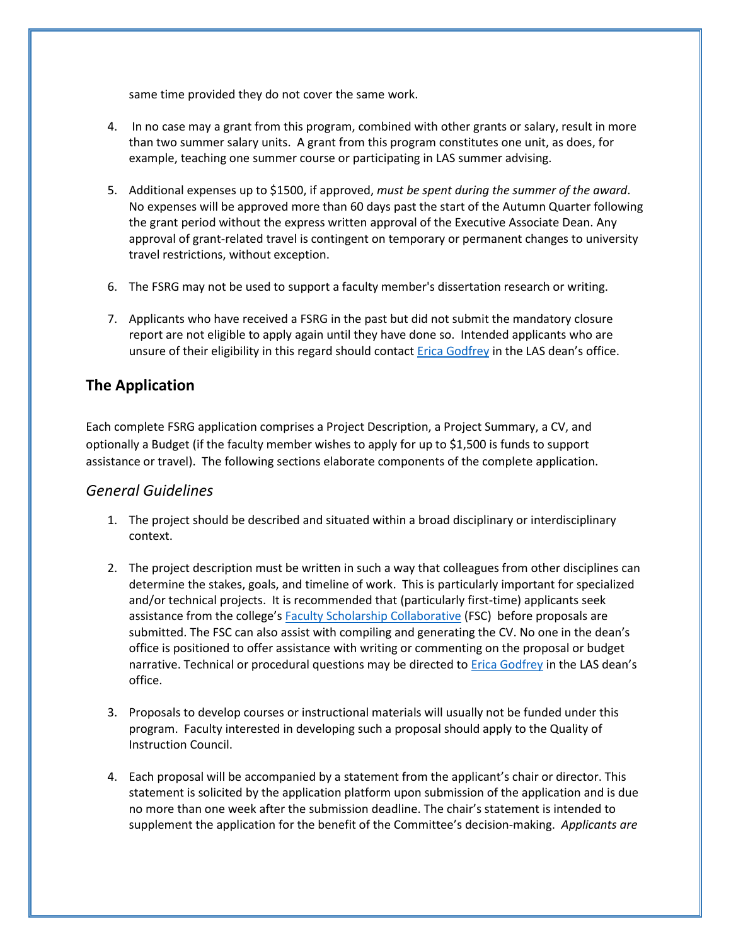same time provided they do not cover the same work.

- 4. In no case may a grant from this program, combined with other grants or salary, result in more than two summer salary units. A grant from this program constitutes one unit, as does, for example, teaching one summer course or participating in LAS summer advising.
- 5. Additional expenses up to \$1500, if approved, *must be spent during the summer of the award*. No expenses will be approved more than 60 days past the start of the Autumn Quarter following the grant period without the express written approval of the Executive Associate Dean. Any approval of grant-related travel is contingent on temporary or permanent changes to university travel restrictions, without exception.
- 6. The FSRG may not be used to support a faculty member's dissertation research or writing.
- 7. Applicants who have received a FSRG in the past but did not submit the mandatory closure report are not eligible to apply again until they have done so. Intended applicants who are unsure of their eligibility in this regard should contac[t Erica Godfrey](mailto:egodfre1@depaul.edu) in the LAS dean's office.

### **The Application**

Each complete FSRG application comprises a Project Description, a Project Summary, a CV, and optionally a Budget (if the faculty member wishes to apply for up to \$1,500 is funds to support assistance or travel). The following sections elaborate components of the complete application.

#### *General Guidelines*

- 1. The project should be described and situated within a broad disciplinary or interdisciplinary context.
- 2. The project description must be written in such a way that colleagues from other disciplines can determine the stakes, goals, and timeline of work. This is particularly important for specialized and/or technical projects. It is recommended that (particularly first-time) applicants seek assistance from the college's [Faculty Scholarship Collaborative](https://las.depaul.edu/centers-and-institutes/faculty-scholarship-support-center/Pages/default.aspx) (FSC) before proposals are submitted. The FSC can also assist with compiling and generating the CV. No one in the dean's office is positioned to offer assistance with writing or commenting on the proposal or budget narrative. Technical or procedural questions may be directed t[o Erica Godfrey](mailto:egodfre1@depaul.edu) in the LAS dean's office.
- 3. Proposals to develop courses or instructional materials will usually not be funded under this program. Faculty interested in developing such a proposal should apply to the Quality of Instruction Council.
- 4. Each proposal will be accompanied by a statement from the applicant's chair or director. This statement is solicited by the application platform upon submission of the application and is due no more than one week after the submission deadline. The chair's statement is intended to supplement the application for the benefit of the Committee's decision-making. *Applicants are*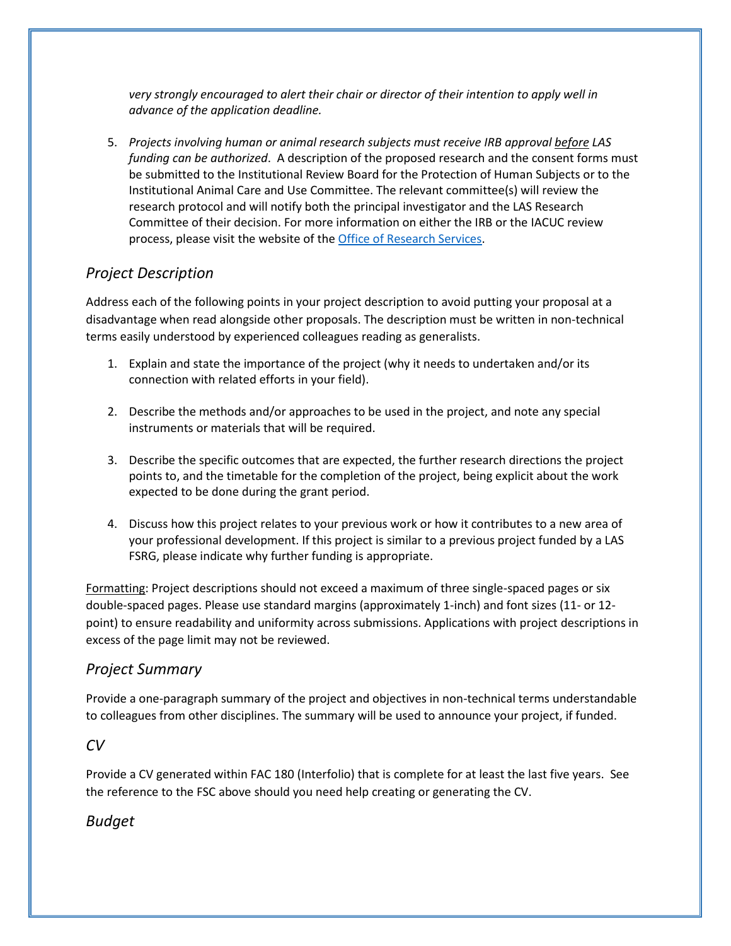*very strongly encouraged to alert their chair or director of their intention to apply well in advance of the application deadline.* 

5. *Projects involving human or animal research subjects must receive IRB approval before LAS funding can be authorized*. A description of the proposed research and the consent forms must be submitted to the Institutional Review Board for the Protection of Human Subjects or to the Institutional Animal Care and Use Committee. The relevant committee(s) will review the research protocol and will notify both the principal investigator and the LAS Research Committee of their decision. For more information on either the IRB or the IACUC review process, please visit the website of the [Office of Research Services.](https://offices.depaul.edu/research-services/Pages/default.aspx)

### *Project Description*

Address each of the following points in your project description to avoid putting your proposal at a disadvantage when read alongside other proposals. The description must be written in non-technical terms easily understood by experienced colleagues reading as generalists.

- 1. Explain and state the importance of the project (why it needs to undertaken and/or its connection with related efforts in your field).
- 2. Describe the methods and/or approaches to be used in the project, and note any special instruments or materials that will be required.
- 3. Describe the specific outcomes that are expected, the further research directions the project points to, and the timetable for the completion of the project, being explicit about the work expected to be done during the grant period.
- 4. Discuss how this project relates to your previous work or how it contributes to a new area of your professional development. If this project is similar to a previous project funded by a LAS FSRG, please indicate why further funding is appropriate.

Formatting: Project descriptions should not exceed a maximum of three single-spaced pages or six double-spaced pages. Please use standard margins (approximately 1-inch) and font sizes (11- or 12 point) to ensure readability and uniformity across submissions. Applications with project descriptions in excess of the page limit may not be reviewed.

#### *Project Summary*

Provide a one-paragraph summary of the project and objectives in non-technical terms understandable to colleagues from other disciplines. The summary will be used to announce your project, if funded.

#### *CV*

Provide a CV generated within FAC 180 (Interfolio) that is complete for at least the last five years. See the reference to the FSC above should you need help creating or generating the CV.

## *Budget*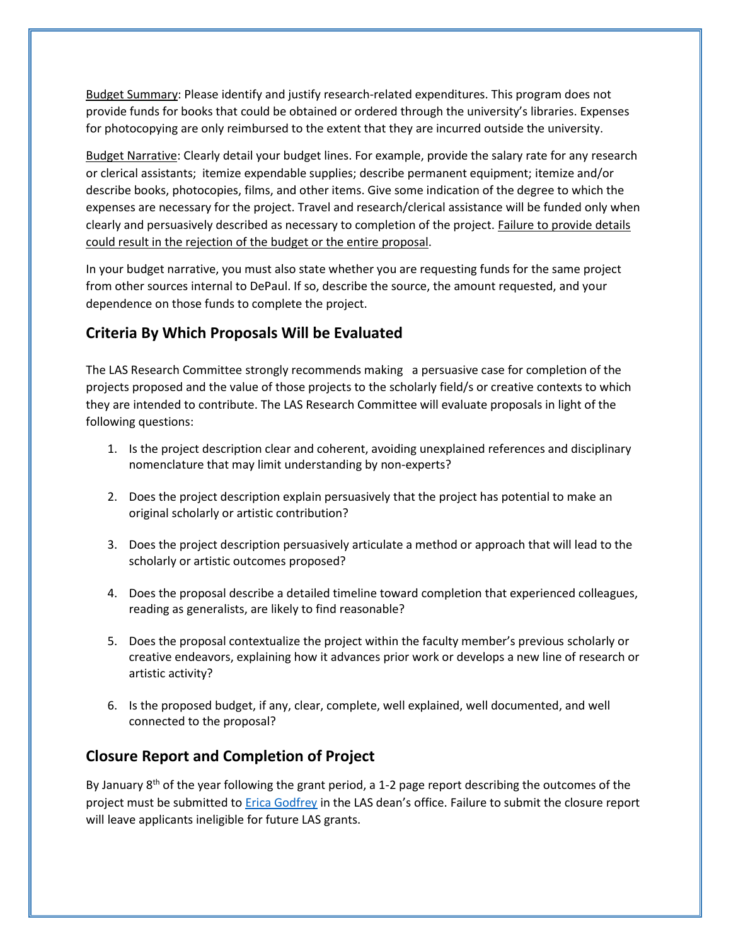Budget Summary: Please identify and justify research-related expenditures. This program does not provide funds for books that could be obtained or ordered through the university's libraries. Expenses for photocopying are only reimbursed to the extent that they are incurred outside the university.

Budget Narrative: Clearly detail your budget lines. For example, provide the salary rate for any research or clerical assistants; itemize expendable supplies; describe permanent equipment; itemize and/or describe books, photocopies, films, and other items. Give some indication of the degree to which the expenses are necessary for the project. Travel and research/clerical assistance will be funded only when clearly and persuasively described as necessary to completion of the project. Failure to provide details could result in the rejection of the budget or the entire proposal.

In your budget narrative, you must also state whether you are requesting funds for the same project from other sources internal to DePaul. If so, describe the source, the amount requested, and your dependence on those funds to complete the project.

## **Criteria By Which Proposals Will be Evaluated**

The LAS Research Committee strongly recommends making a persuasive case for completion of the projects proposed and the value of those projects to the scholarly field/s or creative contexts to which they are intended to contribute. The LAS Research Committee will evaluate proposals in light of the following questions:

- 1. Is the project description clear and coherent, avoiding unexplained references and disciplinary nomenclature that may limit understanding by non-experts?
- 2. Does the project description explain persuasively that the project has potential to make an original scholarly or artistic contribution?
- 3. Does the project description persuasively articulate a method or approach that will lead to the scholarly or artistic outcomes proposed?
- 4. Does the proposal describe a detailed timeline toward completion that experienced colleagues, reading as generalists, are likely to find reasonable?
- 5. Does the proposal contextualize the project within the faculty member's previous scholarly or creative endeavors, explaining how it advances prior work or develops a new line of research or artistic activity?
- 6. Is the proposed budget, if any, clear, complete, well explained, well documented, and well connected to the proposal?

#### **Closure Report and Completion of Project**

By January 8<sup>th</sup> of the year following the grant period, a 1-2 page report describing the outcomes of the project must be submitted to [Erica Godfrey](mailto:egodfre1@depaul.edu) in the LAS dean's office. Failure to submit the closure report will leave applicants ineligible for future LAS grants.